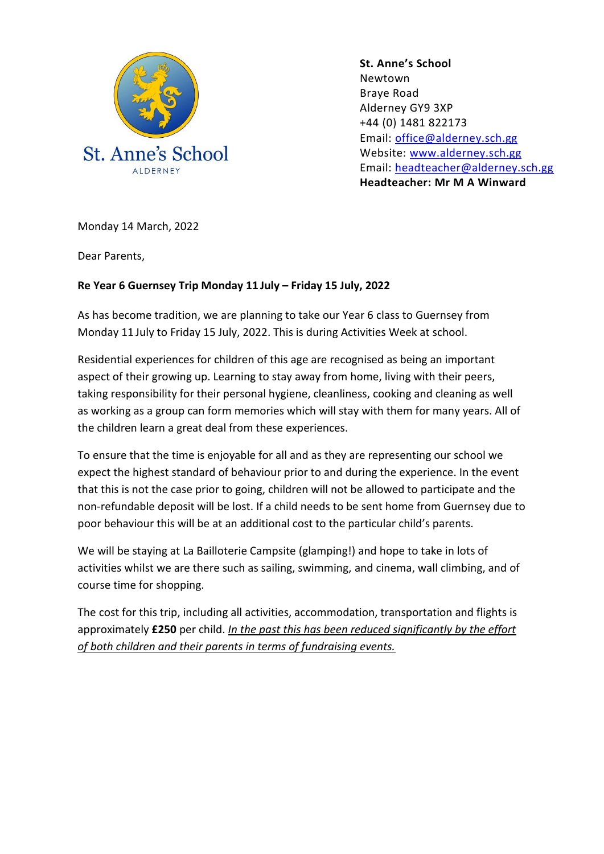

**St. Anne's School**  Newtown Braye Road Alderney GY9 3XP +44 (0) 1481 822173 Email: [office@alderney.sch.gg](mailto:office@alderney.sch.gg) Website: [www.alderney.sch.gg](http://www.alderney.sch.gg/) Email: [headteacher@alderney.sch.gg](mailto:headteacher@alderney.sch.gg) **Headteacher: Mr M A Winward**

Monday 14 March, 2022

Dear Parents,

## **Re Year 6 Guernsey Trip Monday 11 July – Friday 15 July, 2022**

As has become tradition, we are planning to take our Year 6 class to Guernsey from Monday 11 July to Friday 15 July, 2022. This is during Activities Week at school.

Residential experiences for children of this age are recognised as being an important aspect of their growing up. Learning to stay away from home, living with their peers, taking responsibility for their personal hygiene, cleanliness, cooking and cleaning as well as working as a group can form memories which will stay with them for many years. All of the children learn a great deal from these experiences.

To ensure that the time is enjoyable for all and as they are representing our school we expect the highest standard of behaviour prior to and during the experience. In the event that this is not the case prior to going, children will not be allowed to participate and the non-refundable deposit will be lost. If a child needs to be sent home from Guernsey due to poor behaviour this will be at an additional cost to the particular child's parents.

We will be staying at La Bailloterie Campsite (glamping!) and hope to take in lots of activities whilst we are there such as sailing, swimming, and cinema, wall climbing, and of course time for shopping.

The cost for this trip, including all activities, accommodation, transportation and flights is approximately **£250** per child. *In the past this has been reduced significantly by the effort of both children and their parents in terms of fundraising events.*